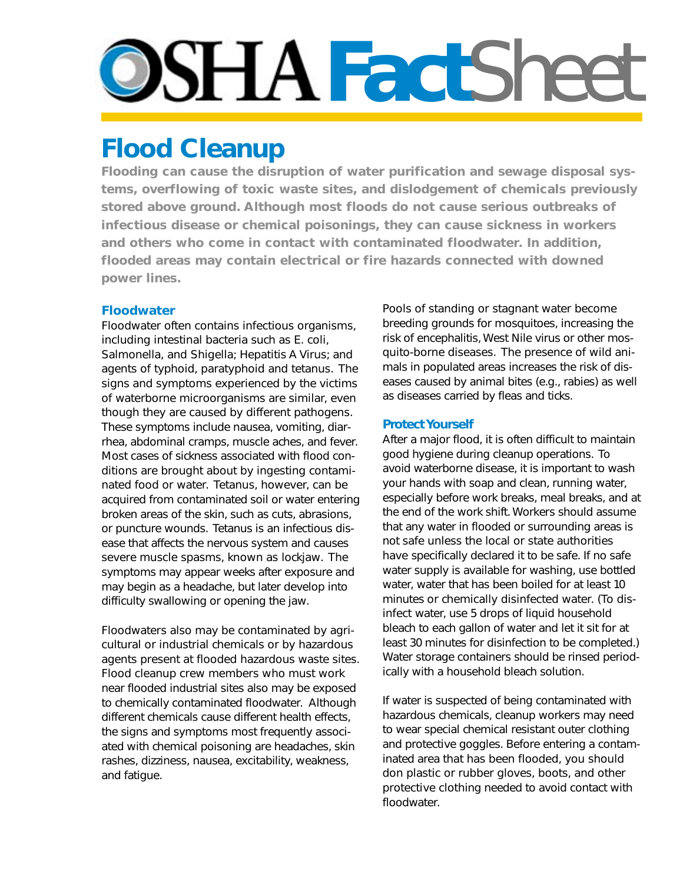# **DSHAFact**Sheet

# **Flood Cleanup**

**Flooding can cause the disruption of water purification and sewage disposal systems, overflowing of toxic waste sites, and dislodgement of chemicals previously stored above ground. Although most floods do not cause serious outbreaks of infectious disease or chemical poisonings, they can cause sickness in workers and others who come in contact with contaminated floodwater. In addition, flooded areas may contain electrical or fire hazards connected with downed power lines.**

## **Floodwater**

Floodwater often contains infectious organisms, including intestinal bacteria such as E. coli, Salmonella, and Shigella; Hepatitis A Virus; and agents of typhoid, paratyphoid and tetanus. The signs and symptoms experienced by the victims of waterborne microorganisms are similar, even though they are caused by different pathogens. These symptoms include nausea, vomiting, diarrhea, abdominal cramps, muscle aches, and fever. Most cases of sickness associated with flood conditions are brought about by ingesting contaminated food or water. Tetanus, however, can be acquired from contaminated soil or water entering broken areas of the skin, such as cuts, abrasions, or puncture wounds. Tetanus is an infectious disease that affects the nervous system and causes severe muscle spasms, known as lockjaw. The symptoms may appear weeks after exposure and may begin as a headache, but later develop into difficulty swallowing or opening the jaw.

Floodwaters also may be contaminated by agricultural or industrial chemicals or by hazardous agents present at flooded hazardous waste sites. Flood cleanup crew members who must work near flooded industrial sites also may be exposed to chemically contaminated floodwater. Although different chemicals cause different health effects, the signs and symptoms most frequently associated with chemical poisoning are headaches, skin rashes, dizziness, nausea, excitability, weakness, and fatigue.

Pools of standing or stagnant water become breeding grounds for mosquitoes, increasing the risk of encephalitis, West Nile virus or other mosquito-borne diseases. The presence of wild animals in populated areas increases the risk of diseases caused by animal bites (e.g., rabies) as well as diseases carried by fleas and ticks.

## **Protect Yourself**

After a major flood, it is often difficult to maintain good hygiene during cleanup operations. To avoid waterborne disease, it is important to wash your hands with soap and clean, running water, especially before work breaks, meal breaks, and at the end of the work shift. Workers should assume that any water in flooded or surrounding areas is not safe unless the local or state authorities have specifically declared it to be safe. If no safe water supply is available for washing, use bottled water, water that has been boiled for at least 10 minutes or chemically disinfected water. (To disinfect water, use 5 drops of liquid household bleach to each gallon of water and let it sit for at least 30 minutes for disinfection to be completed.) Water storage containers should be rinsed periodically with a household bleach solution.

If water is suspected of being contaminated with hazardous chemicals, cleanup workers may need to wear special chemical resistant outer clothing and protective goggles. Before entering a contaminated area that has been flooded, you should don plastic or rubber gloves, boots, and other protective clothing needed to avoid contact with floodwater.